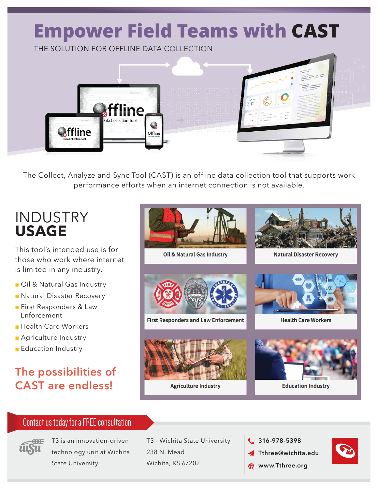

The Collect, Analyze and Sync Tool (CAST) is an offline data collection tool that supports work performance efforts when an internet connection is not available.

## INDUSTRY **USAGE**

This tool's intended use is for those who work where internet is limited in any industry.

- Oil & Natural Gas Industry
- Natural Disaster Recovery
- First Responders & Law Enforcement
- Health Care Workers
- Agriculture Industry
- Education Industry

## **The possibilities of CAST are endless!**



#### Contact us today for a FREE consultation



T3 is an innovation-driven technology unit at Wichita State University.

T3 - Wichita State University 238 N. Mead Wichita, KS 67202

- **316-978-5398**
- **Tthree@wichita.edu**
- **R** www.Tthree.org